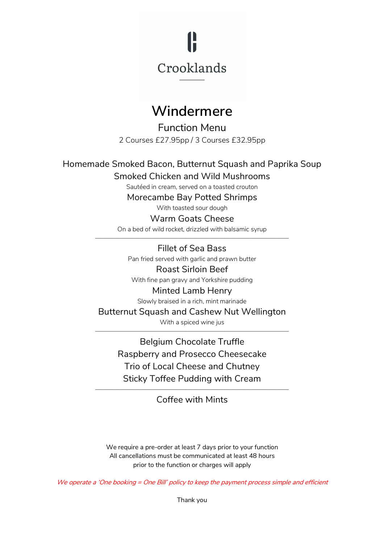

# **Windermere**

Function Menu 2 Courses £27.95pp / 3 Courses £32.95pp

Homemade Smoked Bacon, Butternut Squash and Paprika Soup

Smoked Chicken and Wild Mushrooms

Sautéed in cream, served on a toasted crouton

Morecambe Bay Potted Shrimps

With toasted sour dough

### Warm Goats Cheese

On a bed of wild rocket, drizzled with balsamic syrup ——————————————————————————————

> Fillet of Sea Bass Pan fried served with garlic and prawn butter Roast Sirloin Beef

With fine pan gravy and Yorkshire pudding

#### Minted Lamb Henry

Slowly braised in a rich, mint marinade

Butternut Squash and Cashew Nut Wellington

With a spiced wine jus ——————————————————————————————

> Belgium Chocolate Truffle Raspberry and Prosecco Cheesecake Trio of Local Cheese and Chutney Sticky Toffee Pudding with Cream

—————————————————————————————— Coffee with Mints

We require a pre-order at least 7 days prior to your function All cancellations must be communicated at least 48 hours prior to the function or charges will apply

We operate <sup>a</sup> 'One booking <sup>=</sup> One Bill' policy to keep the payment process simple and efficient